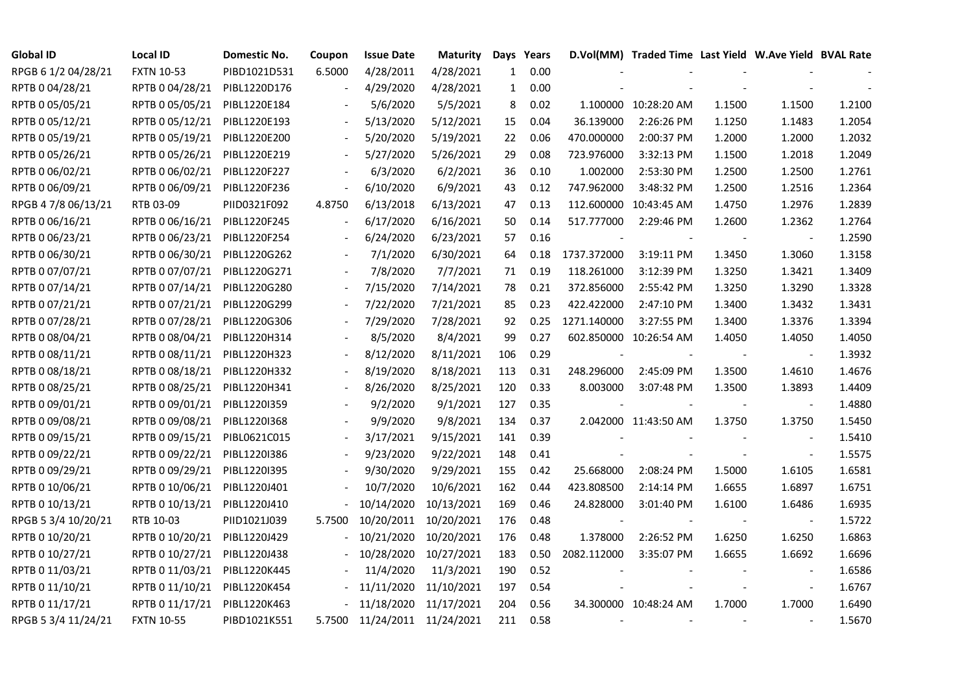| <b>Global ID</b>    | <b>Local ID</b>   | Domestic No. | Coupon | <b>Issue Date</b>            | <b>Maturity</b> |              | Days Years |             | D.Vol(MM) Traded Time Last Yield W.Ave Yield BVAL Rate |        |                          |        |
|---------------------|-------------------|--------------|--------|------------------------------|-----------------|--------------|------------|-------------|--------------------------------------------------------|--------|--------------------------|--------|
| RPGB 6 1/2 04/28/21 | <b>FXTN 10-53</b> | PIBD1021D531 | 6.5000 | 4/28/2011                    | 4/28/2021       | $\mathbf{1}$ | 0.00       |             |                                                        |        |                          |        |
| RPTB 0 04/28/21     | RPTB 0 04/28/21   | PIBL1220D176 |        | 4/29/2020                    | 4/28/2021       | $\mathbf{1}$ | 0.00       |             |                                                        |        |                          |        |
| RPTB 0 05/05/21     | RPTB 0 05/05/21   | PIBL1220E184 |        | 5/6/2020                     | 5/5/2021        | 8            | 0.02       |             | 1.100000 10:28:20 AM                                   | 1.1500 | 1.1500                   | 1.2100 |
| RPTB 0 05/12/21     | RPTB 0 05/12/21   | PIBL1220E193 |        | 5/13/2020                    | 5/12/2021       | 15           | 0.04       | 36.139000   | 2:26:26 PM                                             | 1.1250 | 1.1483                   | 1.2054 |
| RPTB 0 05/19/21     | RPTB 0 05/19/21   | PIBL1220E200 |        | 5/20/2020                    | 5/19/2021       | 22           | 0.06       | 470.000000  | 2:00:37 PM                                             | 1.2000 | 1.2000                   | 1.2032 |
| RPTB 0 05/26/21     | RPTB 0 05/26/21   | PIBL1220E219 |        | 5/27/2020                    | 5/26/2021       | 29           | 0.08       | 723.976000  | 3:32:13 PM                                             | 1.1500 | 1.2018                   | 1.2049 |
| RPTB 0 06/02/21     | RPTB 0 06/02/21   | PIBL1220F227 |        | 6/3/2020                     | 6/2/2021        | 36           | 0.10       | 1.002000    | 2:53:30 PM                                             | 1.2500 | 1.2500                   | 1.2761 |
| RPTB 0 06/09/21     | RPTB 0 06/09/21   | PIBL1220F236 |        | 6/10/2020                    | 6/9/2021        | 43           | 0.12       | 747.962000  | 3:48:32 PM                                             | 1.2500 | 1.2516                   | 1.2364 |
| RPGB 4 7/8 06/13/21 | RTB 03-09         | PIID0321F092 | 4.8750 | 6/13/2018                    | 6/13/2021       | 47           | 0.13       | 112.600000  | 10:43:45 AM                                            | 1.4750 | 1.2976                   | 1.2839 |
| RPTB 0 06/16/21     | RPTB 0 06/16/21   | PIBL1220F245 |        | 6/17/2020                    | 6/16/2021       | 50           | 0.14       | 517.777000  | 2:29:46 PM                                             | 1.2600 | 1.2362                   | 1.2764 |
| RPTB 0 06/23/21     | RPTB 0 06/23/21   | PIBL1220F254 |        | 6/24/2020                    | 6/23/2021       | 57           | 0.16       |             |                                                        |        | $\overline{\phantom{a}}$ | 1.2590 |
| RPTB 0 06/30/21     | RPTB 0 06/30/21   | PIBL1220G262 |        | 7/1/2020                     | 6/30/2021       | 64           | 0.18       | 1737.372000 | 3:19:11 PM                                             | 1.3450 | 1.3060                   | 1.3158 |
| RPTB 0 07/07/21     | RPTB 0 07/07/21   | PIBL1220G271 |        | 7/8/2020                     | 7/7/2021        | 71           | 0.19       | 118.261000  | 3:12:39 PM                                             | 1.3250 | 1.3421                   | 1.3409 |
| RPTB 0 07/14/21     | RPTB 0 07/14/21   | PIBL1220G280 |        | 7/15/2020                    | 7/14/2021       | 78           | 0.21       | 372.856000  | 2:55:42 PM                                             | 1.3250 | 1.3290                   | 1.3328 |
| RPTB 0 07/21/21     | RPTB 0 07/21/21   | PIBL1220G299 |        | 7/22/2020                    | 7/21/2021       | 85           | 0.23       | 422.422000  | 2:47:10 PM                                             | 1.3400 | 1.3432                   | 1.3431 |
| RPTB 0 07/28/21     | RPTB 0 07/28/21   | PIBL1220G306 |        | 7/29/2020                    | 7/28/2021       | 92           | 0.25       | 1271.140000 | 3:27:55 PM                                             | 1.3400 | 1.3376                   | 1.3394 |
| RPTB 0 08/04/21     | RPTB 0 08/04/21   | PIBL1220H314 |        | 8/5/2020                     | 8/4/2021        | 99           | 0.27       |             | 602.850000 10:26:54 AM                                 | 1.4050 | 1.4050                   | 1.4050 |
| RPTB 0 08/11/21     | RPTB 0 08/11/21   | PIBL1220H323 |        | 8/12/2020                    | 8/11/2021       | 106          | 0.29       |             |                                                        |        | $\blacksquare$           | 1.3932 |
| RPTB 0 08/18/21     | RPTB 0 08/18/21   | PIBL1220H332 |        | 8/19/2020                    | 8/18/2021       | 113          | 0.31       | 248.296000  | 2:45:09 PM                                             | 1.3500 | 1.4610                   | 1.4676 |
| RPTB 0 08/25/21     | RPTB 0 08/25/21   | PIBL1220H341 |        | 8/26/2020                    | 8/25/2021       | 120          | 0.33       | 8.003000    | 3:07:48 PM                                             | 1.3500 | 1.3893                   | 1.4409 |
| RPTB 0 09/01/21     | RPTB 0 09/01/21   | PIBL1220I359 |        | 9/2/2020                     | 9/1/2021        | 127          | 0.35       |             |                                                        |        | $\overline{\phantom{a}}$ | 1.4880 |
| RPTB 0 09/08/21     | RPTB 0 09/08/21   | PIBL1220I368 |        | 9/9/2020                     | 9/8/2021        | 134          | 0.37       |             | 2.042000 11:43:50 AM                                   | 1.3750 | 1.3750                   | 1.5450 |
| RPTB 0 09/15/21     | RPTB 0 09/15/21   | PIBL0621C015 |        | 3/17/2021                    | 9/15/2021       | 141          | 0.39       |             |                                                        |        |                          | 1.5410 |
| RPTB 0 09/22/21     | RPTB 0 09/22/21   | PIBL1220I386 |        | 9/23/2020                    | 9/22/2021       | 148          | 0.41       |             |                                                        |        | $\overline{\phantom{a}}$ | 1.5575 |
| RPTB 0 09/29/21     | RPTB 0 09/29/21   | PIBL1220I395 |        | 9/30/2020                    | 9/29/2021       | 155          | 0.42       | 25.668000   | 2:08:24 PM                                             | 1.5000 | 1.6105                   | 1.6581 |
| RPTB 0 10/06/21     | RPTB 0 10/06/21   | PIBL1220J401 |        | 10/7/2020                    | 10/6/2021       | 162          | 0.44       | 423.808500  | 2:14:14 PM                                             | 1.6655 | 1.6897                   | 1.6751 |
| RPTB 0 10/13/21     | RPTB 0 10/13/21   | PIBL1220J410 |        | 10/14/2020                   | 10/13/2021      | 169          | 0.46       | 24.828000   | 3:01:40 PM                                             | 1.6100 | 1.6486                   | 1.6935 |
| RPGB 5 3/4 10/20/21 | RTB 10-03         | PIID1021J039 | 5.7500 | 10/20/2011                   | 10/20/2021      | 176          | 0.48       |             |                                                        |        | $\blacksquare$           | 1.5722 |
| RPTB 0 10/20/21     | RPTB 0 10/20/21   | PIBL1220J429 |        | 10/21/2020                   | 10/20/2021      | 176          | 0.48       | 1.378000    | 2:26:52 PM                                             | 1.6250 | 1.6250                   | 1.6863 |
| RPTB 0 10/27/21     | RPTB 0 10/27/21   | PIBL1220J438 |        | 10/28/2020                   | 10/27/2021      | 183          | 0.50       | 2082.112000 | 3:35:07 PM                                             | 1.6655 | 1.6692                   | 1.6696 |
| RPTB 0 11/03/21     | RPTB 0 11/03/21   | PIBL1220K445 |        | 11/4/2020                    | 11/3/2021       | 190          | 0.52       |             |                                                        |        |                          | 1.6586 |
| RPTB 0 11/10/21     | RPTB 0 11/10/21   | PIBL1220K454 |        | 11/11/2020                   | 11/10/2021      | 197          | 0.54       |             |                                                        |        | $\overline{\phantom{a}}$ | 1.6767 |
| RPTB 0 11/17/21     | RPTB 0 11/17/21   | PIBL1220K463 |        | 11/18/2020                   | 11/17/2021      | 204          | 0.56       |             | 34.300000 10:48:24 AM                                  | 1.7000 | 1.7000                   | 1.6490 |
| RPGB 5 3/4 11/24/21 | <b>FXTN 10-55</b> | PIBD1021K551 |        | 5.7500 11/24/2011 11/24/2021 |                 | 211          | 0.58       |             |                                                        |        |                          | 1.5670 |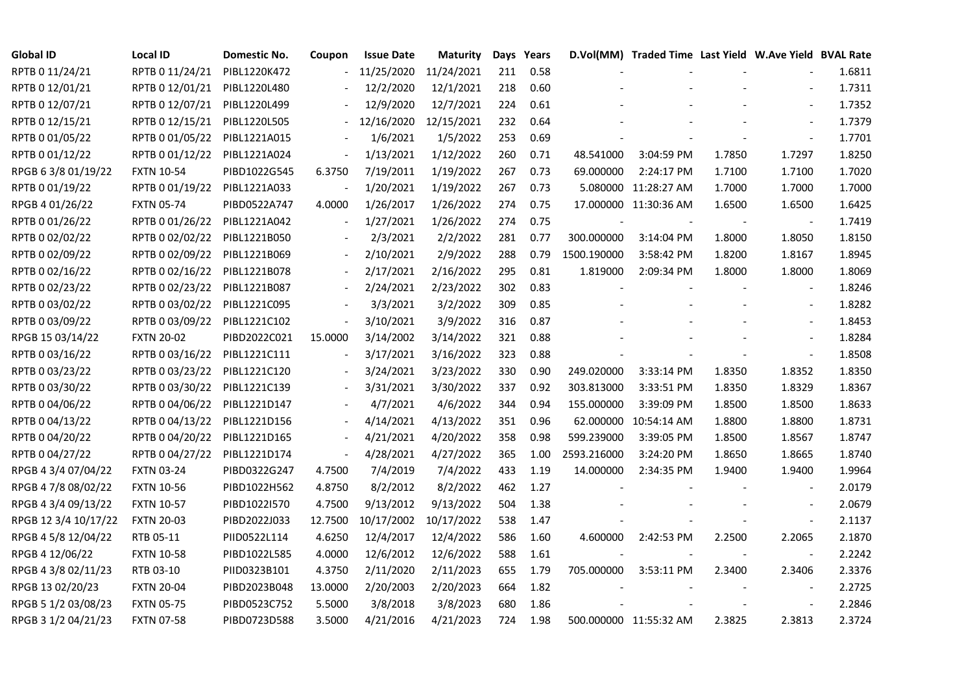| <b>Global ID</b>     | <b>Local ID</b>   | Domestic No. | Coupon                   | <b>Issue Date</b> | <b>Maturity</b> |     | Days Years |             | D.Vol(MM) Traded Time Last Yield W.Ave Yield BVAL Rate |        |                          |        |
|----------------------|-------------------|--------------|--------------------------|-------------------|-----------------|-----|------------|-------------|--------------------------------------------------------|--------|--------------------------|--------|
| RPTB 0 11/24/21      | RPTB 0 11/24/21   | PIBL1220K472 |                          | 11/25/2020        | 11/24/2021      | 211 | 0.58       |             |                                                        |        |                          | 1.6811 |
| RPTB 0 12/01/21      | RPTB 0 12/01/21   | PIBL1220L480 |                          | 12/2/2020         | 12/1/2021       | 218 | 0.60       |             |                                                        |        |                          | 1.7311 |
| RPTB 0 12/07/21      | RPTB 0 12/07/21   | PIBL1220L499 |                          | 12/9/2020         | 12/7/2021       | 224 | 0.61       |             |                                                        |        | $\blacksquare$           | 1.7352 |
| RPTB 0 12/15/21      | RPTB 0 12/15/21   | PIBL1220L505 | $\overline{\phantom{0}}$ | 12/16/2020        | 12/15/2021      | 232 | 0.64       |             |                                                        |        | $\overline{a}$           | 1.7379 |
| RPTB 0 01/05/22      | RPTB 0 01/05/22   | PIBL1221A015 |                          | 1/6/2021          | 1/5/2022        | 253 | 0.69       |             |                                                        |        |                          | 1.7701 |
| RPTB 0 01/12/22      | RPTB 0 01/12/22   | PIBL1221A024 | $\Box$                   | 1/13/2021         | 1/12/2022       | 260 | 0.71       | 48.541000   | 3:04:59 PM                                             | 1.7850 | 1.7297                   | 1.8250 |
| RPGB 63/8 01/19/22   | <b>FXTN 10-54</b> | PIBD1022G545 | 6.3750                   | 7/19/2011         | 1/19/2022       | 267 | 0.73       | 69.000000   | 2:24:17 PM                                             | 1.7100 | 1.7100                   | 1.7020 |
| RPTB 0 01/19/22      | RPTB 0 01/19/22   | PIBL1221A033 | $\overline{a}$           | 1/20/2021         | 1/19/2022       | 267 | 0.73       |             | 5.080000 11:28:27 AM                                   | 1.7000 | 1.7000                   | 1.7000 |
| RPGB 4 01/26/22      | <b>FXTN 05-74</b> | PIBD0522A747 | 4.0000                   | 1/26/2017         | 1/26/2022       | 274 | 0.75       |             | 17.000000 11:30:36 AM                                  | 1.6500 | 1.6500                   | 1.6425 |
| RPTB 0 01/26/22      | RPTB 0 01/26/22   | PIBL1221A042 |                          | 1/27/2021         | 1/26/2022       | 274 | 0.75       |             |                                                        |        |                          | 1.7419 |
| RPTB 0 02/02/22      | RPTB 0 02/02/22   | PIBL1221B050 | $\overline{a}$           | 2/3/2021          | 2/2/2022        | 281 | 0.77       | 300.000000  | 3:14:04 PM                                             | 1.8000 | 1.8050                   | 1.8150 |
| RPTB 0 02/09/22      | RPTB 0 02/09/22   | PIBL1221B069 |                          | 2/10/2021         | 2/9/2022        | 288 | 0.79       | 1500.190000 | 3:58:42 PM                                             | 1.8200 | 1.8167                   | 1.8945 |
| RPTB 0 02/16/22      | RPTB 0 02/16/22   | PIBL1221B078 |                          | 2/17/2021         | 2/16/2022       | 295 | 0.81       | 1.819000    | 2:09:34 PM                                             | 1.8000 | 1.8000                   | 1.8069 |
| RPTB 0 02/23/22      | RPTB 0 02/23/22   | PIBL1221B087 |                          | 2/24/2021         | 2/23/2022       | 302 | 0.83       |             |                                                        |        | $\blacksquare$           | 1.8246 |
| RPTB 0 03/02/22      | RPTB 0 03/02/22   | PIBL1221C095 |                          | 3/3/2021          | 3/2/2022        | 309 | 0.85       |             |                                                        |        | $\frac{1}{2}$            | 1.8282 |
| RPTB 0 03/09/22      | RPTB 0 03/09/22   | PIBL1221C102 |                          | 3/10/2021         | 3/9/2022        | 316 | 0.87       |             |                                                        |        |                          | 1.8453 |
| RPGB 15 03/14/22     | <b>FXTN 20-02</b> | PIBD2022C021 | 15.0000                  | 3/14/2002         | 3/14/2022       | 321 | 0.88       |             |                                                        |        | $\overline{\phantom{a}}$ | 1.8284 |
| RPTB 0 03/16/22      | RPTB 0 03/16/22   | PIBL1221C111 | $\overline{\phantom{a}}$ | 3/17/2021         | 3/16/2022       | 323 | 0.88       |             |                                                        |        | $\overline{\phantom{a}}$ | 1.8508 |
| RPTB 0 03/23/22      | RPTB 0 03/23/22   | PIBL1221C120 |                          | 3/24/2021         | 3/23/2022       | 330 | 0.90       | 249.020000  | 3:33:14 PM                                             | 1.8350 | 1.8352                   | 1.8350 |
| RPTB 0 03/30/22      | RPTB 0 03/30/22   | PIBL1221C139 |                          | 3/31/2021         | 3/30/2022       | 337 | 0.92       | 303.813000  | 3:33:51 PM                                             | 1.8350 | 1.8329                   | 1.8367 |
| RPTB 0 04/06/22      | RPTB 0 04/06/22   | PIBL1221D147 |                          | 4/7/2021          | 4/6/2022        | 344 | 0.94       | 155.000000  | 3:39:09 PM                                             | 1.8500 | 1.8500                   | 1.8633 |
| RPTB 0 04/13/22      | RPTB 0 04/13/22   | PIBL1221D156 |                          | 4/14/2021         | 4/13/2022       | 351 | 0.96       |             | 62.000000 10:54:14 AM                                  | 1.8800 | 1.8800                   | 1.8731 |
| RPTB 0 04/20/22      | RPTB 0 04/20/22   | PIBL1221D165 |                          | 4/21/2021         | 4/20/2022       | 358 | 0.98       | 599.239000  | 3:39:05 PM                                             | 1.8500 | 1.8567                   | 1.8747 |
| RPTB 0 04/27/22      | RPTB 0 04/27/22   | PIBL1221D174 | $\overline{\phantom{a}}$ | 4/28/2021         | 4/27/2022       | 365 | 1.00       | 2593.216000 | 3:24:20 PM                                             | 1.8650 | 1.8665                   | 1.8740 |
| RPGB 4 3/4 07/04/22  | <b>FXTN 03-24</b> | PIBD0322G247 | 4.7500                   | 7/4/2019          | 7/4/2022        | 433 | 1.19       | 14.000000   | 2:34:35 PM                                             | 1.9400 | 1.9400                   | 1.9964 |
| RPGB 4 7/8 08/02/22  | <b>FXTN 10-56</b> | PIBD1022H562 | 4.8750                   | 8/2/2012          | 8/2/2022        | 462 | 1.27       |             |                                                        |        |                          | 2.0179 |
| RPGB 4 3/4 09/13/22  | <b>FXTN 10-57</b> | PIBD1022I570 | 4.7500                   | 9/13/2012         | 9/13/2022       | 504 | 1.38       |             |                                                        |        | $\overline{\phantom{a}}$ | 2.0679 |
| RPGB 12 3/4 10/17/22 | <b>FXTN 20-03</b> | PIBD2022J033 | 12.7500                  | 10/17/2002        | 10/17/2022      | 538 | 1.47       |             |                                                        |        | $\blacksquare$           | 2.1137 |
| RPGB 4 5/8 12/04/22  | RTB 05-11         | PIID0522L114 | 4.6250                   | 12/4/2017         | 12/4/2022       | 586 | 1.60       | 4.600000    | 2:42:53 PM                                             | 2.2500 | 2.2065                   | 2.1870 |
| RPGB 4 12/06/22      | <b>FXTN 10-58</b> | PIBD1022L585 | 4.0000                   | 12/6/2012         | 12/6/2022       | 588 | 1.61       |             |                                                        |        |                          | 2.2242 |
| RPGB 4 3/8 02/11/23  | RTB 03-10         | PIID0323B101 | 4.3750                   | 2/11/2020         | 2/11/2023       | 655 | 1.79       | 705.000000  | 3:53:11 PM                                             | 2.3400 | 2.3406                   | 2.3376 |
| RPGB 13 02/20/23     | <b>FXTN 20-04</b> | PIBD2023B048 | 13.0000                  | 2/20/2003         | 2/20/2023       | 664 | 1.82       |             |                                                        |        | $\blacksquare$           | 2.2725 |
| RPGB 5 1/2 03/08/23  | <b>FXTN 05-75</b> | PIBD0523C752 | 5.5000                   | 3/8/2018          | 3/8/2023        | 680 | 1.86       |             |                                                        |        |                          | 2.2846 |
| RPGB 3 1/2 04/21/23  | <b>FXTN 07-58</b> | PIBD0723D588 | 3.5000                   | 4/21/2016         | 4/21/2023       | 724 | 1.98       |             | 500.000000 11:55:32 AM                                 | 2.3825 | 2.3813                   | 2.3724 |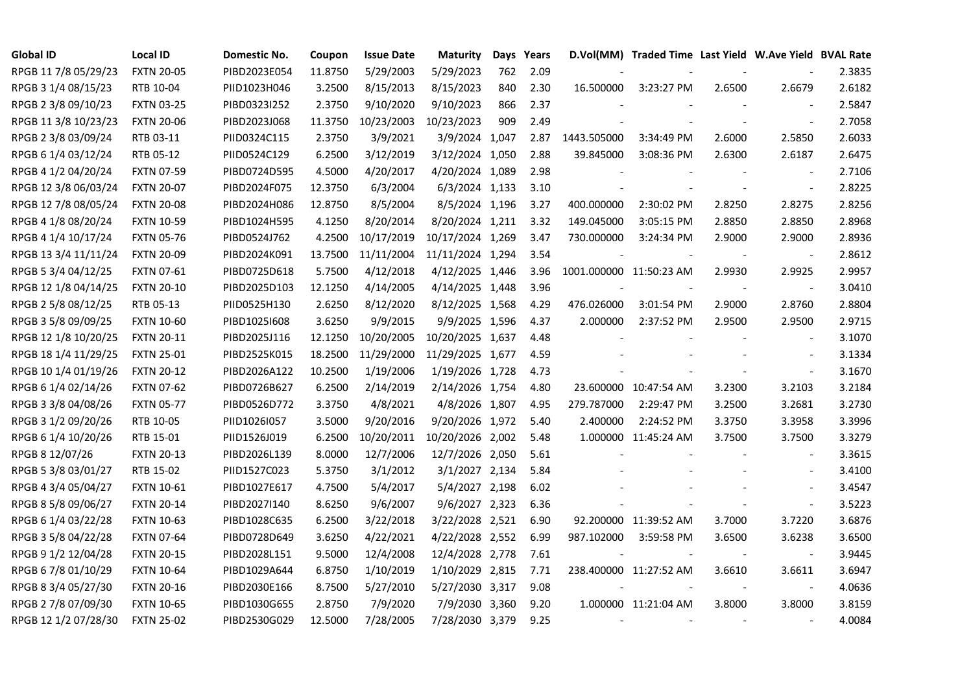| <b>Global ID</b>     | <b>Local ID</b>   | Domestic No. | Coupon  | <b>Issue Date</b> | <b>Maturity</b>  | Days | Years |                          | D.Vol(MM) Traded Time Last Yield W.Ave Yield BVAL Rate |                |                          |        |
|----------------------|-------------------|--------------|---------|-------------------|------------------|------|-------|--------------------------|--------------------------------------------------------|----------------|--------------------------|--------|
| RPGB 11 7/8 05/29/23 | <b>FXTN 20-05</b> | PIBD2023E054 | 11.8750 | 5/29/2003         | 5/29/2023        | 762  | 2.09  |                          |                                                        |                |                          | 2.3835 |
| RPGB 3 1/4 08/15/23  | RTB 10-04         | PIID1023H046 | 3.2500  | 8/15/2013         | 8/15/2023        | 840  | 2.30  | 16.500000                | 3:23:27 PM                                             | 2.6500         | 2.6679                   | 2.6182 |
| RPGB 2 3/8 09/10/23  | <b>FXTN 03-25</b> | PIBD0323I252 | 2.3750  | 9/10/2020         | 9/10/2023        | 866  | 2.37  |                          |                                                        |                |                          | 2.5847 |
| RPGB 11 3/8 10/23/23 | <b>FXTN 20-06</b> | PIBD2023J068 | 11.3750 | 10/23/2003        | 10/23/2023       | 909  | 2.49  |                          |                                                        |                | $\mathbf{r}$             | 2.7058 |
| RPGB 2 3/8 03/09/24  | RTB 03-11         | PIID0324C115 | 2.3750  | 3/9/2021          | 3/9/2024 1,047   |      | 2.87  | 1443.505000              | 3:34:49 PM                                             | 2.6000         | 2.5850                   | 2.6033 |
| RPGB 6 1/4 03/12/24  | RTB 05-12         | PIID0524C129 | 6.2500  | 3/12/2019         | 3/12/2024 1,050  |      | 2.88  | 39.845000                | 3:08:36 PM                                             | 2.6300         | 2.6187                   | 2.6475 |
| RPGB 4 1/2 04/20/24  | <b>FXTN 07-59</b> | PIBD0724D595 | 4.5000  | 4/20/2017         | 4/20/2024 1,089  |      | 2.98  |                          |                                                        |                | $\overline{\phantom{a}}$ | 2.7106 |
| RPGB 12 3/8 06/03/24 | <b>FXTN 20-07</b> | PIBD2024F075 | 12.3750 | 6/3/2004          | 6/3/2024 1,133   |      | 3.10  |                          |                                                        |                | $\blacksquare$           | 2.8225 |
| RPGB 12 7/8 08/05/24 | <b>FXTN 20-08</b> | PIBD2024H086 | 12.8750 | 8/5/2004          | 8/5/2024 1,196   |      | 3.27  | 400.000000               | 2:30:02 PM                                             | 2.8250         | 2.8275                   | 2.8256 |
| RPGB 4 1/8 08/20/24  | <b>FXTN 10-59</b> | PIBD1024H595 | 4.1250  | 8/20/2014         | 8/20/2024 1,211  |      | 3.32  | 149.045000               | 3:05:15 PM                                             | 2.8850         | 2.8850                   | 2.8968 |
| RPGB 4 1/4 10/17/24  | <b>FXTN 05-76</b> | PIBD0524J762 | 4.2500  | 10/17/2019        | 10/17/2024 1,269 |      | 3.47  | 730.000000               | 3:24:34 PM                                             | 2.9000         | 2.9000                   | 2.8936 |
| RPGB 13 3/4 11/11/24 | <b>FXTN 20-09</b> | PIBD2024K091 | 13.7500 | 11/11/2004        | 11/11/2024 1,294 |      | 3.54  |                          |                                                        |                | $\blacksquare$           | 2.8612 |
| RPGB 5 3/4 04/12/25  | <b>FXTN 07-61</b> | PIBD0725D618 | 5.7500  | 4/12/2018         | 4/12/2025 1,446  |      | 3.96  | 1001.000000 11:50:23 AM  |                                                        | 2.9930         | 2.9925                   | 2.9957 |
| RPGB 12 1/8 04/14/25 | <b>FXTN 20-10</b> | PIBD2025D103 | 12.1250 | 4/14/2005         | 4/14/2025 1,448  |      | 3.96  | $\overline{\phantom{a}}$ |                                                        |                | $\blacksquare$           | 3.0410 |
| RPGB 2 5/8 08/12/25  | RTB 05-13         | PIID0525H130 | 2.6250  | 8/12/2020         | 8/12/2025 1,568  |      | 4.29  | 476.026000               | 3:01:54 PM                                             | 2.9000         | 2.8760                   | 2.8804 |
| RPGB 3 5/8 09/09/25  | <b>FXTN 10-60</b> | PIBD10251608 | 3.6250  | 9/9/2015          | 9/9/2025 1,596   |      | 4.37  | 2.000000                 | 2:37:52 PM                                             | 2.9500         | 2.9500                   | 2.9715 |
| RPGB 12 1/8 10/20/25 | <b>FXTN 20-11</b> | PIBD2025J116 | 12.1250 | 10/20/2005        | 10/20/2025 1,637 |      | 4.48  |                          |                                                        |                | $\sim$                   | 3.1070 |
| RPGB 18 1/4 11/29/25 | <b>FXTN 25-01</b> | PIBD2525K015 | 18.2500 | 11/29/2000        | 11/29/2025 1,677 |      | 4.59  |                          |                                                        |                | $\sim$                   | 3.1334 |
| RPGB 10 1/4 01/19/26 | <b>FXTN 20-12</b> | PIBD2026A122 | 10.2500 | 1/19/2006         | 1/19/2026 1,728  |      | 4.73  |                          |                                                        |                | $\blacksquare$           | 3.1670 |
| RPGB 6 1/4 02/14/26  | <b>FXTN 07-62</b> | PIBD0726B627 | 6.2500  | 2/14/2019         | 2/14/2026 1,754  |      | 4.80  |                          | 23.600000 10:47:54 AM                                  | 3.2300         | 3.2103                   | 3.2184 |
| RPGB 3 3/8 04/08/26  | <b>FXTN 05-77</b> | PIBD0526D772 | 3.3750  | 4/8/2021          | 4/8/2026 1,807   |      | 4.95  | 279.787000               | 2:29:47 PM                                             | 3.2500         | 3.2681                   | 3.2730 |
| RPGB 3 1/2 09/20/26  | RTB 10-05         | PIID1026I057 | 3.5000  | 9/20/2016         | 9/20/2026 1,972  |      | 5.40  | 2.400000                 | 2:24:52 PM                                             | 3.3750         | 3.3958                   | 3.3996 |
| RPGB 6 1/4 10/20/26  | RTB 15-01         | PIID1526J019 | 6.2500  | 10/20/2011        | 10/20/2026 2,002 |      | 5.48  |                          | 1.000000 11:45:24 AM                                   | 3.7500         | 3.7500                   | 3.3279 |
| RPGB 8 12/07/26      | <b>FXTN 20-13</b> | PIBD2026L139 | 8.0000  | 12/7/2006         | 12/7/2026 2,050  |      | 5.61  |                          |                                                        |                | $\overline{\phantom{a}}$ | 3.3615 |
| RPGB 5 3/8 03/01/27  | RTB 15-02         | PIID1527C023 | 5.3750  | 3/1/2012          | 3/1/2027 2,134   |      | 5.84  |                          |                                                        |                | $\blacksquare$           | 3.4100 |
| RPGB 4 3/4 05/04/27  | <b>FXTN 10-61</b> | PIBD1027E617 | 4.7500  | 5/4/2017          | 5/4/2027 2,198   |      | 6.02  |                          |                                                        |                | $\sim$                   | 3.4547 |
| RPGB 8 5/8 09/06/27  | <b>FXTN 20-14</b> | PIBD2027I140 | 8.6250  | 9/6/2007          | 9/6/2027 2,323   |      | 6.36  |                          |                                                        |                | $\blacksquare$           | 3.5223 |
| RPGB 6 1/4 03/22/28  | <b>FXTN 10-63</b> | PIBD1028C635 | 6.2500  | 3/22/2018         | 3/22/2028 2,521  |      | 6.90  |                          | 92.200000 11:39:52 AM                                  | 3.7000         | 3.7220                   | 3.6876 |
| RPGB 3 5/8 04/22/28  | <b>FXTN 07-64</b> | PIBD0728D649 | 3.6250  | 4/22/2021         | 4/22/2028 2,552  |      | 6.99  | 987.102000               | 3:59:58 PM                                             | 3.6500         | 3.6238                   | 3.6500 |
| RPGB 9 1/2 12/04/28  | <b>FXTN 20-15</b> | PIBD2028L151 | 9.5000  | 12/4/2008         | 12/4/2028 2,778  |      | 7.61  |                          |                                                        |                | $\sim$                   | 3.9445 |
| RPGB 67/8 01/10/29   | <b>FXTN 10-64</b> | PIBD1029A644 | 6.8750  | 1/10/2019         | 1/10/2029 2,815  |      | 7.71  |                          | 238.400000 11:27:52 AM                                 | 3.6610         | 3.6611                   | 3.6947 |
| RPGB 8 3/4 05/27/30  | <b>FXTN 20-16</b> | PIBD2030E166 | 8.7500  | 5/27/2010         | 5/27/2030 3,317  |      | 9.08  |                          |                                                        | $\blacksquare$ | $\overline{\phantom{a}}$ | 4.0636 |
| RPGB 2 7/8 07/09/30  | <b>FXTN 10-65</b> | PIBD1030G655 | 2.8750  | 7/9/2020          | 7/9/2030 3,360   |      | 9.20  |                          | 1.000000 11:21:04 AM                                   | 3.8000         | 3.8000                   | 3.8159 |
| RPGB 12 1/2 07/28/30 | <b>FXTN 25-02</b> | PIBD2530G029 | 12.5000 | 7/28/2005         | 7/28/2030 3,379  |      | 9.25  |                          |                                                        |                | $\overline{\phantom{a}}$ | 4.0084 |